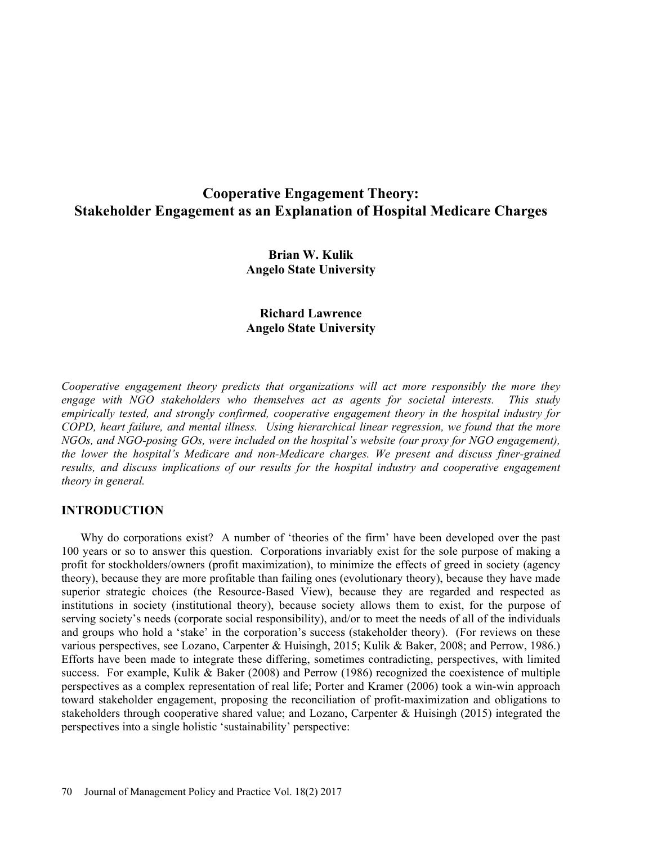# Cooperative Engagement Theory: Stakeholder Engagement as an Explanation of Hospital Medicare Charges

Brian W. Kulik Angelo State University

# Richard Lawrence Angelo State University

Cooperative engagement theory predicts that organizations will act more responsibly the more they engage with NGO stakeholders who themselves act as agents for societal interests. This study empirically tested, and strongly confirmed, cooperative engagement theory in the hospital industry for COPD, heart failure, and mental illness. Using hierarchical linear regression, we found that the more  $NGOs$ , and  $NGO$ -posing  $GOs$ , were included on the hospital's website (our proxy for  $NGO$  engagement), the lower the hospital's Medicare and non-Medicare charges. We present and discuss finer-grained results, and discuss implications of our results for the hospital industry and cooperative engagement theory in general.

# INTRODUCTION

Why do corporations exist? A number of 'theories of the firm' have been developed over the past 100 years or so to answer this question. Corporations invariably exist for the sole purpose of making a profit for stockholders/owners (profit maximization), to minimize the effects of greed in society (agency theory), because they are more profitable than failing ones (evolutionary theory), because they have made superior strategic choices (the Resource-Based View), because they are regarded and respected as institutions in society (institutional theory), because society allows them to exist, for the purpose of serving society's needs (corporate social responsibility), and/or to meet the needs of all of the individuals and groups who hold a 'stake' in the corporation's success (stakeholder theory). (For reviews on these various perspectives, see Lozano, Carpenter & Huisingh, 2015; Kulik & Baker, 2008; and Perrow, 1986.) Efforts have been made to integrate these differing, sometimes contradicting, perspectives, with limited success. For example, Kulik & Baker (2008) and Perrow (1986) recognized the coexistence of multiple perspectives as a complex representation of real life; Porter and Kramer (2006) took a win-win approach toward stakeholder engagement, proposing the reconciliation of profit-maximization and obligations to stakeholders through cooperative shared value; and Lozano, Carpenter & Huisingh (2015) integrated the perspectives into a single holistic 'sustainability' perspective: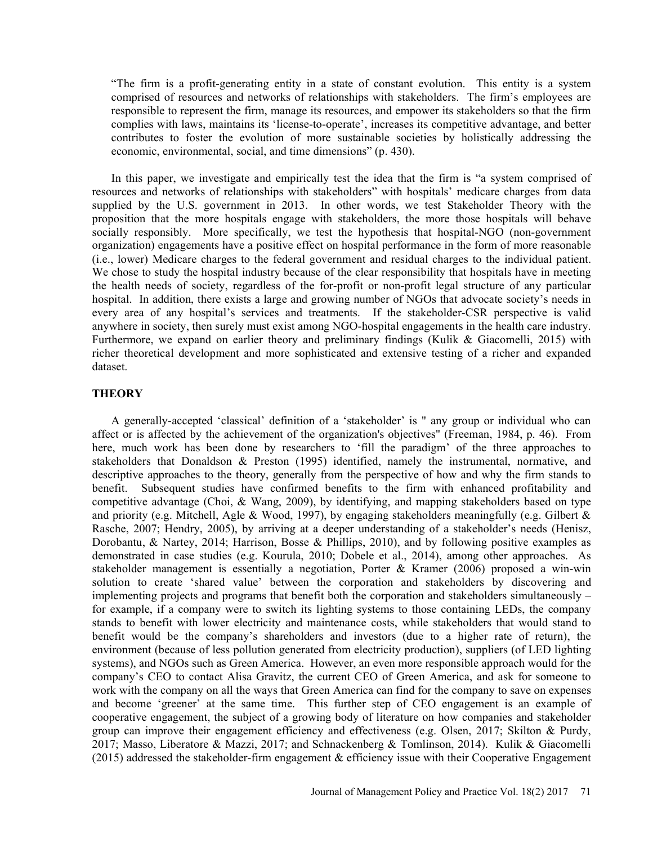The firm is a profit-generating entity in a state of constant evolution. This entity is a system comprised of resources and networks of relationships with stakeholders. The firm's employees are responsible to represent the firm, manage its resources, and empower its stakeholders so that the firm complies with laws, maintains its 'license-to-operate', increases its competitive advantage, and better contributes to foster the evolution of more sustainable societies by holistically addressing the economic, environmental, social, and time dimensions" (p. 430).

In this paper, we investigate and empirically test the idea that the firm is "a system comprised of resources and networks of relationships with stakeholders" with hospitals' medicare charges from data supplied by the U.S. government in 2013. In other words, we test Stakeholder Theory with the proposition that the more hospitals engage with stakeholders, the more those hospitals will behave socially responsibly. More specifically, we test the hypothesis that hospital-NGO (non-government organization) engagements have a positive effect on hospital performance in the form of more reasonable (i.e., lower) Medicare charges to the federal government and residual charges to the individual patient. We chose to study the hospital industry because of the clear responsibility that hospitals have in meeting the health needs of society, regardless of the for-profit or non-profit legal structure of any particular hospital. In addition, there exists a large and growing number of NGOs that advocate society's needs in every area of any hospital's services and treatments. If the stakeholder-CSR perspective is valid anywhere in society, then surely must exist among NGO-hospital engagements in the health care industry. Furthermore, we expand on earlier theory and preliminary findings (Kulik & Giacomelli, 2015) with richer theoretical development and more sophisticated and extensive testing of a richer and expanded dataset.

## **THEORY**

A generally-accepted 'classical' definition of a 'stakeholder' is " any group or individual who can affect or is affected by the achievement of the organization's objectives" (Freeman, 1984, p. 46). From here, much work has been done by researchers to 'fill the paradigm' of the three approaches to stakeholders that Donaldson & Preston (1995) identified, namely the instrumental, normative, and descriptive approaches to the theory, generally from the perspective of how and why the firm stands to benefit. Subsequent studies have confirmed benefits to the firm with enhanced profitability and competitive advantage (Choi, & Wang, 2009), by identifying, and mapping stakeholders based on type and priority (e.g. Mitchell, Agle & Wood, 1997), by engaging stakeholders meaningfully (e.g. Gilbert & Rasche, 2007; Hendry, 2005), by arriving at a deeper understanding of a stakeholder's needs (Henisz, Dorobantu, & Nartey, 2014; Harrison, Bosse & Phillips, 2010), and by following positive examples as demonstrated in case studies (e.g. Kourula, 2010; Dobele et al., 2014), among other approaches. As stakeholder management is essentially a negotiation, Porter & Kramer (2006) proposed a win-win solution to create 'shared value' between the corporation and stakeholders by discovering and implementing projects and programs that benefit both the corporation and stakeholders simultaneously for example, if a company were to switch its lighting systems to those containing LEDs, the company stands to benefit with lower electricity and maintenance costs, while stakeholders that would stand to benefit would be the companys shareholders and investors (due to a higher rate of return), the environment (because of less pollution generated from electricity production), suppliers (of LED lighting systems), and NGOs such as Green America. However, an even more responsible approach would for the companys CEO to contact Alisa Gravitz, the current CEO of Green America, and ask for someone to work with the company on all the ways that Green America can find for the company to save on expenses and become 'greener' at the same time. This further step of CEO engagement is an example of cooperative engagement, the subject of a growing body of literature on how companies and stakeholder group can improve their engagement efficiency and effectiveness (e.g. Olsen, 2017; Skilton & Purdy, 2017; Masso, Liberatore & Mazzi, 2017; and Schnackenberg & Tomlinson, 2014). Kulik & Giacomelli (2015) addressed the stakeholder-firm engagement & efficiency issue with their Cooperative Engagement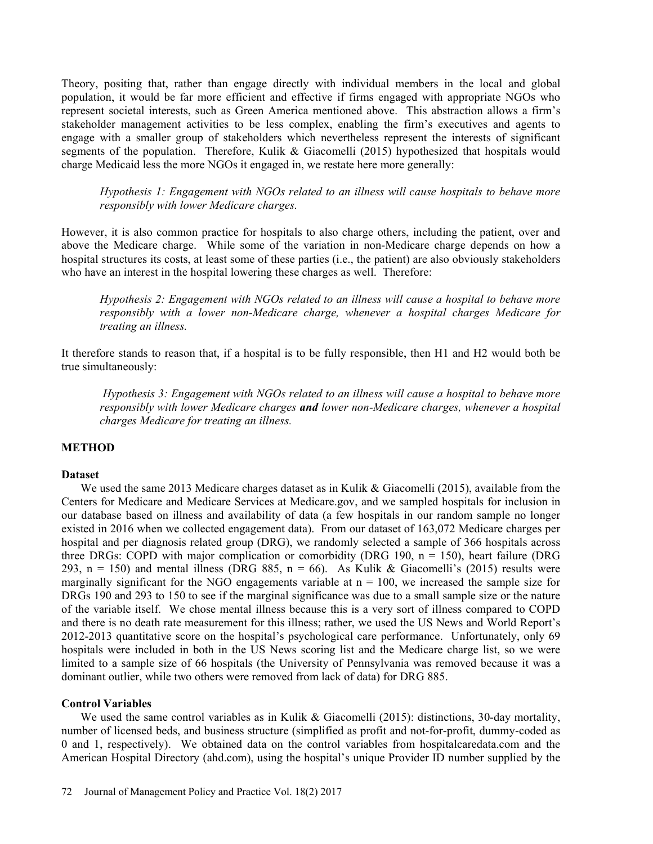Theory, positing that, rather than engage directly with individual members in the local and global population, it would be far more efficient and effective if firms engaged with appropriate NGOs who represent societal interests, such as Green America mentioned above. This abstraction allows a firm's stakeholder management activities to be less complex, enabling the firm's executives and agents to engage with a smaller group of stakeholders which nevertheless represent the interests of significant segments of the population. Therefore, Kulik & Giacomelli (2015) hypothesized that hospitals would charge Medicaid less the more NGOs it engaged in, we restate here more generally:

Hypothesis 1: Engagement with NGOs related to an illness will cause hospitals to behave more responsibly with lower Medicare charges.

However, it is also common practice for hospitals to also charge others, including the patient, over and above the Medicare charge. While some of the variation in non-Medicare charge depends on how a hospital structures its costs, at least some of these parties (i.e., the patient) are also obviously stakeholders who have an interest in the hospital lowering these charges as well. Therefore:

Hypothesis 2: Engagement with NGOs related to an illness will cause a hospital to behave more responsibly with a lower non-Medicare charge, whenever a hospital charges Medicare for treating an illness.

It therefore stands to reason that, if a hospital is to be fully responsible, then H1 and H2 would both be true simultaneously:

Hypothesis 3: Engagement with NGOs related to an illness will cause a hospital to behave more responsibly with lower Medicare charges and lower non-Medicare charges, whenever a hospital charges Medicare for treating an illness.

# **METHOD**

#### Dataset

We used the same 2013 Medicare charges dataset as in Kulik & Giacomelli (2015), available from the Centers for Medicare and Medicare Services at Medicare.gov, and we sampled hospitals for inclusion in our database based on illness and availability of data (a few hospitals in our random sample no longer existed in 2016 when we collected engagement data). From our dataset of 163,072 Medicare charges per hospital and per diagnosis related group (DRG), we randomly selected a sample of 366 hospitals across three DRGs: COPD with major complication or comorbidity (DRG 190,  $n = 150$ ), heart failure (DRG 293, n = 150) and mental illness (DRG 885, n = 66). As Kulik & Giacomelli's (2015) results were marginally significant for the NGO engagements variable at  $n = 100$ , we increased the sample size for DRGs 190 and 293 to 150 to see if the marginal significance was due to a small sample size or the nature of the variable itself. We chose mental illness because this is a very sort of illness compared to COPD and there is no death rate measurement for this illness; rather, we used the US News and World Report's 2012-2013 quantitative score on the hospital's psychological care performance. Unfortunately, only 69 hospitals were included in both in the US News scoring list and the Medicare charge list, so we were limited to a sample size of 66 hospitals (the University of Pennsylvania was removed because it was a dominant outlier, while two others were removed from lack of data) for DRG 885.

# Control Variables

We used the same control variables as in Kulik & Giacomelli (2015): distinctions, 30-day mortality, number of licensed beds, and business structure (simplified as profit and not-for-profit, dummy-coded as 0 and 1, respectively). We obtained data on the control variables from hospitalcaredata.com and the American Hospital Directory (ahd.com), using the hospital's unique Provider ID number supplied by the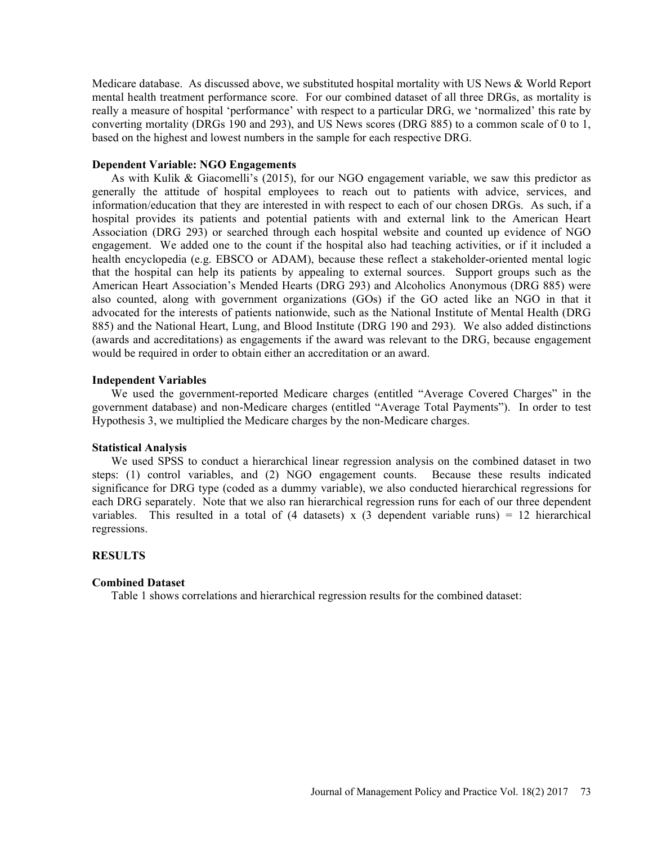Medicare database. As discussed above, we substituted hospital mortality with US News & World Report mental health treatment performance score. For our combined dataset of all three DRGs, as mortality is really a measure of hospital 'performance' with respect to a particular DRG, we 'normalized' this rate by converting mortality (DRGs 190 and 293), and US News scores (DRG 885) to a common scale of 0 to 1, based on the highest and lowest numbers in the sample for each respective DRG.

## Dependent Variable: NGO Engagements

As with Kulik & Giacomelli's (2015), for our NGO engagement variable, we saw this predictor as generally the attitude of hospital employees to reach out to patients with advice, services, and information/education that they are interested in with respect to each of our chosen DRGs. As such, if a hospital provides its patients and potential patients with and external link to the American Heart Association (DRG 293) or searched through each hospital website and counted up evidence of NGO engagement. We added one to the count if the hospital also had teaching activities, or if it included a health encyclopedia (e.g. EBSCO or ADAM), because these reflect a stakeholder-oriented mental logic that the hospital can help its patients by appealing to external sources. Support groups such as the American Heart Association's Mended Hearts (DRG 293) and Alcoholics Anonymous (DRG 885) were also counted, along with government organizations (GOs) if the GO acted like an NGO in that it advocated for the interests of patients nationwide, such as the National Institute of Mental Health (DRG 885) and the National Heart, Lung, and Blood Institute (DRG 190 and 293). We also added distinctions (awards and accreditations) as engagements if the award was relevant to the DRG, because engagement would be required in order to obtain either an accreditation or an award.

## Independent Variables

We used the government-reported Medicare charges (entitled "Average Covered Charges" in the government database) and non-Medicare charges (entitled "Average Total Payments"). In order to test Hypothesis 3, we multiplied the Medicare charges by the non-Medicare charges.

#### Statistical Analysis

We used SPSS to conduct a hierarchical linear regression analysis on the combined dataset in two steps: (1) control variables, and (2) NGO engagement counts. Because these results indicated significance for DRG type (coded as a dummy variable), we also conducted hierarchical regressions for each DRG separately. Note that we also ran hierarchical regression runs for each of our three dependent variables. This resulted in a total of  $(4 \text{ datasets}) \times (3 \text{ dependent variable runs}) = 12 \text{ hierarchical}$ regressions.

#### **RESULTS**

#### Combined Dataset

Table 1 shows correlations and hierarchical regression results for the combined dataset: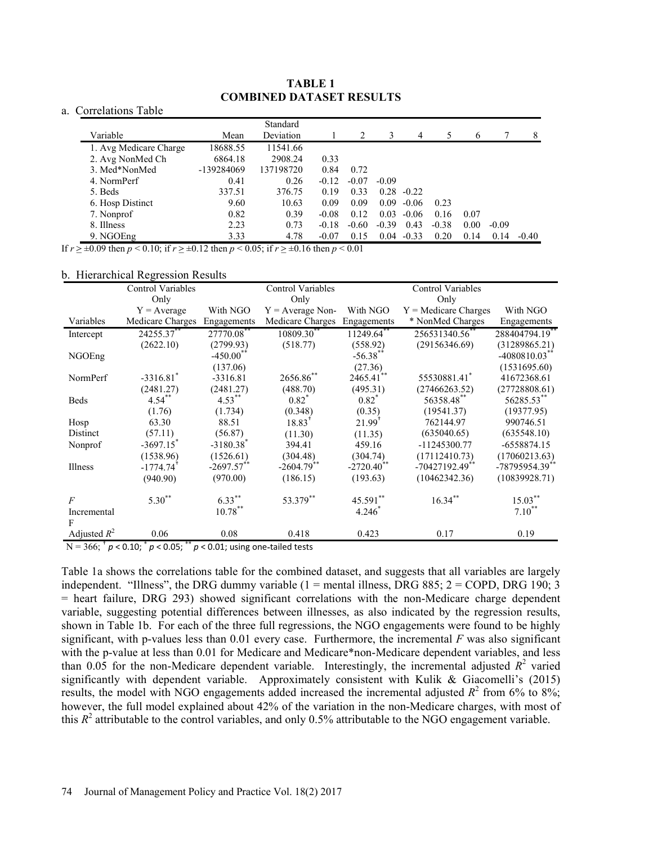# TABLE 1 COMBINED DATASET RESULTS

## a. Correlations Table

|                        |            | Standard  |         |         |         |         |         |      |         |         |
|------------------------|------------|-----------|---------|---------|---------|---------|---------|------|---------|---------|
| Variable               | Mean       | Deviation |         |         | 3       | 4       |         | 6    |         | 8       |
| 1. Avg Medicare Charge | 18688.55   | 11541.66  |         |         |         |         |         |      |         |         |
| 2. Avg NonMed Ch       | 6864.18    | 2908.24   | 0.33    |         |         |         |         |      |         |         |
| 3. Med*NonMed          | -139284069 | 137198720 | 0.84    | 0.72    |         |         |         |      |         |         |
| 4. NormPerf            | 0.41       | 0.26      | $-0.12$ | $-0.07$ | $-0.09$ |         |         |      |         |         |
| 5. Beds                | 337.51     | 376.75    | 0.19    | 0.33    | 0.28    | $-0.22$ |         |      |         |         |
| 6. Hosp Distinct       | 9.60       | 10.63     | 0.09    | 0.09    | 0.09    | $-0.06$ | 0.23    |      |         |         |
| 7. Nonprof             | 0.82       | 0.39      | $-0.08$ | 0.12    | 0.03    | $-0.06$ | 0.16    | 0.07 |         |         |
| 8. Illness             | 2.23       | 0.73      | $-0.18$ | $-0.60$ | $-0.39$ | 0.43    | $-0.38$ | 0.00 | $-0.09$ |         |
| 9. NGOEng              | 3.33       | 4.78      | $-0.07$ | 0.15    | 0.04    | $-0.33$ | 0.20    | 0.14 | 0.14    | $-0.40$ |

If  $r \ge \pm 0.09$  then  $p < 0.10$ ; if  $r \ge \pm 0.12$  then  $p < 0.05$ ; if  $r \ge \pm 0.16$  then  $p < 0.01$ 

#### b. Hierarchical Regression Results

| Only<br>Only<br>Only<br>With NGO<br>With NGO<br>With NGO<br>$Y =$ Medicare Charges<br>$Y = Average$<br>$Y = Average Non-$<br>Variables<br>Medicare Charges<br>Medicare Charges Engagements<br>* NonMed Charges<br>Engagements<br>Engagements<br>24255.37**<br>27770.08**<br>10809.30**<br>256531340.56<br>288404794.19**<br>11249.64<br>Intercept<br>(2622.10)<br>(2799.93)<br>(518.77)<br>(558.92)<br>(29156346.69)<br>(31289865.21)<br>$-450.00$ <sup>**</sup><br>$-56.38$ <sup>*</sup><br>NGOEng<br>$-4080810.03$ <sup>*</sup><br>(27.36)<br>(137.06)<br>(1531695.60)<br>$2465.41$ **<br>2656.86**<br>$-3316.81$ <sup>*</sup><br>55530881.41<br>NormPerf<br>41672368.61<br>$-3316.81$<br>(2481.27)<br>(2481.27)<br>(488.70)<br>(495.31)<br>(27466263.52)<br>$4.53***$<br>$0.82^*$<br>56358.48**<br>56285.53**<br>$4.54$ <sup>**</sup><br>$0.82^*$<br>Beds<br>(0.348)<br>(0.35)<br>(19541.37)<br>(19377.95)<br>(1.76)<br>(1.734)<br>18.83 <sup>+</sup><br>$21.99^{+}$<br>63.30<br>88.51<br>762144.97<br>990746.51<br>Hosp<br>(57.11)<br>Distinct<br>(56.87)<br>(635040.65)<br>(635548.10)<br>(11.35)<br>(11.30)<br>$-3697.15$<br>$-3180.38$ <sup>*</sup><br>394.41<br>459.16<br>$-11245300.77$<br>-6558874.15<br>Nonprof<br>(17112410.73)<br>(1538.96)<br>(1526.61)<br>(304.48)<br>(304.74)<br>$-2720.40$ **<br>$-2604.79$ **<br>$-2697.57$ **<br>-70427192.49**<br>Illness<br>$-1774.74'$<br>(970.00)<br>(186.15)<br>(193.63)<br>(10462342.36)<br>(940.90)<br>$6.33***$<br>$5.30^{**}$<br>53.379**<br>45.591**<br>$16.34***$<br>$15.03***$<br>$\overline{F}$<br>$10.78***$<br>$7.10^{**}$<br>$4.246*$<br>Incremental<br>Adjusted $R^2$<br>0.06<br>0.08<br>0.418<br>0.423<br>0.17<br>0.19 | Control Variables | <b>Control Variables</b> | <b>Control Variables</b>                                                                                 |                |
|---------------------------------------------------------------------------------------------------------------------------------------------------------------------------------------------------------------------------------------------------------------------------------------------------------------------------------------------------------------------------------------------------------------------------------------------------------------------------------------------------------------------------------------------------------------------------------------------------------------------------------------------------------------------------------------------------------------------------------------------------------------------------------------------------------------------------------------------------------------------------------------------------------------------------------------------------------------------------------------------------------------------------------------------------------------------------------------------------------------------------------------------------------------------------------------------------------------------------------------------------------------------------------------------------------------------------------------------------------------------------------------------------------------------------------------------------------------------------------------------------------------------------------------------------------------------------------------------------------------------------------------------------------------------------------------------|-------------------|--------------------------|----------------------------------------------------------------------------------------------------------|----------------|
|                                                                                                                                                                                                                                                                                                                                                                                                                                                                                                                                                                                                                                                                                                                                                                                                                                                                                                                                                                                                                                                                                                                                                                                                                                                                                                                                                                                                                                                                                                                                                                                                                                                                                             |                   |                          |                                                                                                          |                |
|                                                                                                                                                                                                                                                                                                                                                                                                                                                                                                                                                                                                                                                                                                                                                                                                                                                                                                                                                                                                                                                                                                                                                                                                                                                                                                                                                                                                                                                                                                                                                                                                                                                                                             |                   |                          |                                                                                                          |                |
|                                                                                                                                                                                                                                                                                                                                                                                                                                                                                                                                                                                                                                                                                                                                                                                                                                                                                                                                                                                                                                                                                                                                                                                                                                                                                                                                                                                                                                                                                                                                                                                                                                                                                             |                   |                          |                                                                                                          |                |
|                                                                                                                                                                                                                                                                                                                                                                                                                                                                                                                                                                                                                                                                                                                                                                                                                                                                                                                                                                                                                                                                                                                                                                                                                                                                                                                                                                                                                                                                                                                                                                                                                                                                                             |                   |                          |                                                                                                          |                |
|                                                                                                                                                                                                                                                                                                                                                                                                                                                                                                                                                                                                                                                                                                                                                                                                                                                                                                                                                                                                                                                                                                                                                                                                                                                                                                                                                                                                                                                                                                                                                                                                                                                                                             |                   |                          |                                                                                                          |                |
|                                                                                                                                                                                                                                                                                                                                                                                                                                                                                                                                                                                                                                                                                                                                                                                                                                                                                                                                                                                                                                                                                                                                                                                                                                                                                                                                                                                                                                                                                                                                                                                                                                                                                             |                   |                          |                                                                                                          |                |
|                                                                                                                                                                                                                                                                                                                                                                                                                                                                                                                                                                                                                                                                                                                                                                                                                                                                                                                                                                                                                                                                                                                                                                                                                                                                                                                                                                                                                                                                                                                                                                                                                                                                                             |                   |                          |                                                                                                          |                |
|                                                                                                                                                                                                                                                                                                                                                                                                                                                                                                                                                                                                                                                                                                                                                                                                                                                                                                                                                                                                                                                                                                                                                                                                                                                                                                                                                                                                                                                                                                                                                                                                                                                                                             |                   |                          |                                                                                                          |                |
|                                                                                                                                                                                                                                                                                                                                                                                                                                                                                                                                                                                                                                                                                                                                                                                                                                                                                                                                                                                                                                                                                                                                                                                                                                                                                                                                                                                                                                                                                                                                                                                                                                                                                             |                   |                          |                                                                                                          | (27728808.61)  |
|                                                                                                                                                                                                                                                                                                                                                                                                                                                                                                                                                                                                                                                                                                                                                                                                                                                                                                                                                                                                                                                                                                                                                                                                                                                                                                                                                                                                                                                                                                                                                                                                                                                                                             |                   |                          |                                                                                                          |                |
|                                                                                                                                                                                                                                                                                                                                                                                                                                                                                                                                                                                                                                                                                                                                                                                                                                                                                                                                                                                                                                                                                                                                                                                                                                                                                                                                                                                                                                                                                                                                                                                                                                                                                             |                   |                          |                                                                                                          |                |
|                                                                                                                                                                                                                                                                                                                                                                                                                                                                                                                                                                                                                                                                                                                                                                                                                                                                                                                                                                                                                                                                                                                                                                                                                                                                                                                                                                                                                                                                                                                                                                                                                                                                                             |                   |                          |                                                                                                          |                |
|                                                                                                                                                                                                                                                                                                                                                                                                                                                                                                                                                                                                                                                                                                                                                                                                                                                                                                                                                                                                                                                                                                                                                                                                                                                                                                                                                                                                                                                                                                                                                                                                                                                                                             |                   |                          |                                                                                                          |                |
|                                                                                                                                                                                                                                                                                                                                                                                                                                                                                                                                                                                                                                                                                                                                                                                                                                                                                                                                                                                                                                                                                                                                                                                                                                                                                                                                                                                                                                                                                                                                                                                                                                                                                             |                   |                          |                                                                                                          |                |
|                                                                                                                                                                                                                                                                                                                                                                                                                                                                                                                                                                                                                                                                                                                                                                                                                                                                                                                                                                                                                                                                                                                                                                                                                                                                                                                                                                                                                                                                                                                                                                                                                                                                                             |                   |                          |                                                                                                          | (17060213.63)  |
|                                                                                                                                                                                                                                                                                                                                                                                                                                                                                                                                                                                                                                                                                                                                                                                                                                                                                                                                                                                                                                                                                                                                                                                                                                                                                                                                                                                                                                                                                                                                                                                                                                                                                             |                   |                          |                                                                                                          | -78795954.39** |
|                                                                                                                                                                                                                                                                                                                                                                                                                                                                                                                                                                                                                                                                                                                                                                                                                                                                                                                                                                                                                                                                                                                                                                                                                                                                                                                                                                                                                                                                                                                                                                                                                                                                                             |                   |                          |                                                                                                          | (10839928.71)  |
|                                                                                                                                                                                                                                                                                                                                                                                                                                                                                                                                                                                                                                                                                                                                                                                                                                                                                                                                                                                                                                                                                                                                                                                                                                                                                                                                                                                                                                                                                                                                                                                                                                                                                             |                   |                          |                                                                                                          |                |
|                                                                                                                                                                                                                                                                                                                                                                                                                                                                                                                                                                                                                                                                                                                                                                                                                                                                                                                                                                                                                                                                                                                                                                                                                                                                                                                                                                                                                                                                                                                                                                                                                                                                                             |                   |                          |                                                                                                          |                |
|                                                                                                                                                                                                                                                                                                                                                                                                                                                                                                                                                                                                                                                                                                                                                                                                                                                                                                                                                                                                                                                                                                                                                                                                                                                                                                                                                                                                                                                                                                                                                                                                                                                                                             |                   |                          |                                                                                                          |                |
| N = 366; $^{+}$ p < 0.10; $^{*}$ p < 0.05; $^{*}$ p < 0.01; using one-tailed tests                                                                                                                                                                                                                                                                                                                                                                                                                                                                                                                                                                                                                                                                                                                                                                                                                                                                                                                                                                                                                                                                                                                                                                                                                                                                                                                                                                                                                                                                                                                                                                                                          |                   |                          |                                                                                                          |                |
|                                                                                                                                                                                                                                                                                                                                                                                                                                                                                                                                                                                                                                                                                                                                                                                                                                                                                                                                                                                                                                                                                                                                                                                                                                                                                                                                                                                                                                                                                                                                                                                                                                                                                             |                   |                          |                                                                                                          |                |
|                                                                                                                                                                                                                                                                                                                                                                                                                                                                                                                                                                                                                                                                                                                                                                                                                                                                                                                                                                                                                                                                                                                                                                                                                                                                                                                                                                                                                                                                                                                                                                                                                                                                                             |                   |                          |                                                                                                          |                |
| Table 1a shows the correlations table for the combined dataset, and suggests that all variables are largely                                                                                                                                                                                                                                                                                                                                                                                                                                                                                                                                                                                                                                                                                                                                                                                                                                                                                                                                                                                                                                                                                                                                                                                                                                                                                                                                                                                                                                                                                                                                                                                 |                   |                          |                                                                                                          |                |
| independent. "Illness", the DRG dummy variable $(1 = 1)$ mental illness, DRG 885; $2 =$ COPD, DRG 190; 3                                                                                                                                                                                                                                                                                                                                                                                                                                                                                                                                                                                                                                                                                                                                                                                                                                                                                                                                                                                                                                                                                                                                                                                                                                                                                                                                                                                                                                                                                                                                                                                    |                   |                          |                                                                                                          |                |
| = heart failure, DRG 293) showed significant correlations with the non-Medicare charge dependent                                                                                                                                                                                                                                                                                                                                                                                                                                                                                                                                                                                                                                                                                                                                                                                                                                                                                                                                                                                                                                                                                                                                                                                                                                                                                                                                                                                                                                                                                                                                                                                            |                   |                          |                                                                                                          |                |
| variable, suggesting potential differences between illnesses, as also indicated by the regression results,                                                                                                                                                                                                                                                                                                                                                                                                                                                                                                                                                                                                                                                                                                                                                                                                                                                                                                                                                                                                                                                                                                                                                                                                                                                                                                                                                                                                                                                                                                                                                                                  |                   |                          | shown in Table 1b. For each of the three full regressions, the $NGO$ engagements were found to be highly |                |

Table 1a shows the correlations table for the combined dataset, and suggests that all variables are largely independent. "Illness", the DRG dummy variable (1 = mental illness, DRG 885; 2 = COPD, DRG 190; 3 = heart failure, DRG 293) showed significant correlations with the non-Medicare charge dependent variable, suggesting potential differences between illnesses, as also indicated by the regression results, shown in Table 1b. For each of the three full regressions, the NGO engagements were found to be highly significant, with p-values less than  $0.01$  every case. Furthermore, the incremental  $F$  was also significant with the p-value at less than 0.01 for Medicare and Medicare\*non-Medicare dependent variables, and less than 0.05 for the non-Medicare dependent variable. Interestingly, the incremental adjusted  $R^2$  varied significantly with dependent variable. Approximately consistent with Kulik  $\&$  Giacomelli's (2015) results, the model with NGO engagements added increased the incremental adjusted  $R^2$  from 6% to 8%; however, the full model explained about 42% of the variation in the non-Medicare charges, with most of this  $R^2$  attributable to the control variables, and only 0.5% attributable to the NGO engagement variable.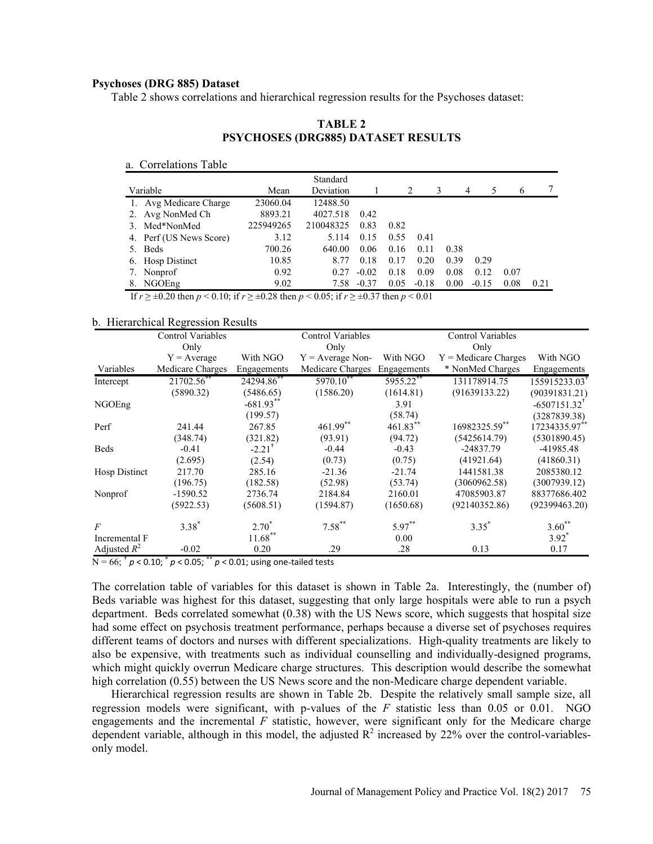## Psychoses (DRG 885) Dataset

| <b>TABLE 2</b><br>PSYCHOSES (DRG885) DATASET RESULTS<br>Standard<br>7<br>Variable<br>Deviation<br>Mean<br>2<br>3<br>5<br>4<br>6<br>1. Avg Medicare Charge<br>23060.04<br>12488.50<br>2. Avg NonMed Ch<br>8893.21<br>4027.518<br>0.42<br>3. Med*NonMed<br>210048325<br>0.83<br>0.82<br>225949265<br>3.12<br>0.55<br>4. Perf (US News Score)<br>5.114<br>0.15<br>0.41<br>700.26<br>640.00<br>0.06<br>0.16<br>0.11<br>5. Beds<br>0.38<br>10.85<br>8.77<br>0.18<br>0.17<br>0.20<br>0.39<br>0.29<br>6. Hosp Distinct<br>0.27<br>$-0.02$<br>0.18<br>0.12<br>0.92<br>0.09<br>0.08<br>0.07<br>7. Nonprof<br>8. NGOEng<br>9.02<br>7.58 -0.37<br>$0.05 - 0.18$<br>0.00<br>0.08<br>$-0.15$<br>0.21<br>If $r \ge \pm 0.20$ then $p < 0.10$ ; if $r \ge \pm 0.28$ then $p < 0.05$ ; if $r \ge \pm 0.37$ then $p < 0.01$<br>Control Variables<br>Control Variables<br><b>Control Variables</b> |  |  |  |  |  |
|----------------------------------------------------------------------------------------------------------------------------------------------------------------------------------------------------------------------------------------------------------------------------------------------------------------------------------------------------------------------------------------------------------------------------------------------------------------------------------------------------------------------------------------------------------------------------------------------------------------------------------------------------------------------------------------------------------------------------------------------------------------------------------------------------------------------------------------------------------------------------------|--|--|--|--|--|
|                                                                                                                                                                                                                                                                                                                                                                                                                                                                                                                                                                                                                                                                                                                                                                                                                                                                                  |  |  |  |  |  |
| oses (DRG 885) Dataset<br>ble 2 shows correlations and hierarchical regression results for the Psychoses dataset:<br>a. Correlations Table<br>rarchical Regression Results                                                                                                                                                                                                                                                                                                                                                                                                                                                                                                                                                                                                                                                                                                       |  |  |  |  |  |
|                                                                                                                                                                                                                                                                                                                                                                                                                                                                                                                                                                                                                                                                                                                                                                                                                                                                                  |  |  |  |  |  |
|                                                                                                                                                                                                                                                                                                                                                                                                                                                                                                                                                                                                                                                                                                                                                                                                                                                                                  |  |  |  |  |  |
|                                                                                                                                                                                                                                                                                                                                                                                                                                                                                                                                                                                                                                                                                                                                                                                                                                                                                  |  |  |  |  |  |
|                                                                                                                                                                                                                                                                                                                                                                                                                                                                                                                                                                                                                                                                                                                                                                                                                                                                                  |  |  |  |  |  |
|                                                                                                                                                                                                                                                                                                                                                                                                                                                                                                                                                                                                                                                                                                                                                                                                                                                                                  |  |  |  |  |  |
|                                                                                                                                                                                                                                                                                                                                                                                                                                                                                                                                                                                                                                                                                                                                                                                                                                                                                  |  |  |  |  |  |
|                                                                                                                                                                                                                                                                                                                                                                                                                                                                                                                                                                                                                                                                                                                                                                                                                                                                                  |  |  |  |  |  |
|                                                                                                                                                                                                                                                                                                                                                                                                                                                                                                                                                                                                                                                                                                                                                                                                                                                                                  |  |  |  |  |  |
|                                                                                                                                                                                                                                                                                                                                                                                                                                                                                                                                                                                                                                                                                                                                                                                                                                                                                  |  |  |  |  |  |
|                                                                                                                                                                                                                                                                                                                                                                                                                                                                                                                                                                                                                                                                                                                                                                                                                                                                                  |  |  |  |  |  |
|                                                                                                                                                                                                                                                                                                                                                                                                                                                                                                                                                                                                                                                                                                                                                                                                                                                                                  |  |  |  |  |  |
|                                                                                                                                                                                                                                                                                                                                                                                                                                                                                                                                                                                                                                                                                                                                                                                                                                                                                  |  |  |  |  |  |
|                                                                                                                                                                                                                                                                                                                                                                                                                                                                                                                                                                                                                                                                                                                                                                                                                                                                                  |  |  |  |  |  |
|                                                                                                                                                                                                                                                                                                                                                                                                                                                                                                                                                                                                                                                                                                                                                                                                                                                                                  |  |  |  |  |  |
|                                                                                                                                                                                                                                                                                                                                                                                                                                                                                                                                                                                                                                                                                                                                                                                                                                                                                  |  |  |  |  |  |
|                                                                                                                                                                                                                                                                                                                                                                                                                                                                                                                                                                                                                                                                                                                                                                                                                                                                                  |  |  |  |  |  |
|                                                                                                                                                                                                                                                                                                                                                                                                                                                                                                                                                                                                                                                                                                                                                                                                                                                                                  |  |  |  |  |  |
|                                                                                                                                                                                                                                                                                                                                                                                                                                                                                                                                                                                                                                                                                                                                                                                                                                                                                  |  |  |  |  |  |
|                                                                                                                                                                                                                                                                                                                                                                                                                                                                                                                                                                                                                                                                                                                                                                                                                                                                                  |  |  |  |  |  |
|                                                                                                                                                                                                                                                                                                                                                                                                                                                                                                                                                                                                                                                                                                                                                                                                                                                                                  |  |  |  |  |  |
|                                                                                                                                                                                                                                                                                                                                                                                                                                                                                                                                                                                                                                                                                                                                                                                                                                                                                  |  |  |  |  |  |
|                                                                                                                                                                                                                                                                                                                                                                                                                                                                                                                                                                                                                                                                                                                                                                                                                                                                                  |  |  |  |  |  |
|                                                                                                                                                                                                                                                                                                                                                                                                                                                                                                                                                                                                                                                                                                                                                                                                                                                                                  |  |  |  |  |  |
| Only<br>Only<br>Only                                                                                                                                                                                                                                                                                                                                                                                                                                                                                                                                                                                                                                                                                                                                                                                                                                                             |  |  |  |  |  |

# TABLE 2 PSYCHOSES (DRG885) DATASET RESULTS

#### b. Hierarchical Regression Results

|                | Control Variables |                      | <b>Control Variables</b> |             | Control Variables      |               |
|----------------|-------------------|----------------------|--------------------------|-------------|------------------------|---------------|
|                | Only              |                      | Only                     |             | Only                   |               |
|                | $Y = Average$     | With NGO             | $Y = Average Non-$       | With NGO    | $Y =$ Medicare Charges | With NGO      |
| Variables      | Medicare Charges  | Engagements          | Medicare Charges         | Engagements | * NonMed Charges       | Engagements   |
| Intercept      | 21702.56**        | 24294.86             | 5970.10**                | 5955.22**   | 131178914.75           | 155915233.03  |
|                | (5890.32)         | (5486.65)            | (1586.20)                | (1614.81)   | (91639133.22)          | (90391831.21) |
| NGOEng         |                   | $-681.93$ **         |                          | 3.91        |                        | $-6507151.32$ |
|                |                   | (199.57)             |                          | (58.74)     |                        | (3287839.38)  |
| Perf           | 241.44            | 267.85               | 461.99**                 | 461.83**    | 16982325.59**          | 17234335.97** |
|                | (348.74)          | (321.82)             | (93.91)                  | (94.72)     | (5425614.79)           | (5301890.45)  |
| Beds           | $-0.41$           | $-2.21$ <sup>T</sup> | $-0.44$                  | $-0.43$     | $-24837.79$            | -41985.48     |
|                | (2.695)           | (2.54)               | (0.73)                   | (0.75)      | (41921.64)             | (41860.31)    |
| Hosp Distinct  | 217.70            | 285.16               | $-21.36$                 | $-21.74$    | 1441581.38             | 2085380.12    |
|                | (196.75)          | (182.58)             | (52.98)                  | (53.74)     | (3060962.58)           | (3007939.12)  |
| Nonprof        | $-1590.52$        | 2736.74              | 2184.84                  | 2160.01     | 47085903.87            | 88377686.402  |
|                | (5922.53)         | (5608.51)            | (1594.87)                | (1650.68)   | (92140352.86)          | (92399463.20) |
| $\overline{F}$ | $3.38*$           | $2.70*$              | $7.58***$                | $5.97***$   | $3.35^*$               | $3.60**$      |
| Incremental F  |                   | $11.68***$           |                          | 0.00        |                        | $3.92^*$      |
| Adjusted $R^2$ | $-0.02$           | 0.20                 | .29                      | .28         | 0.13                   | 0.17          |

The correlation table of variables for this dataset is shown in Table 2a. Interestingly, the (number of) Beds variable was highest for this dataset, suggesting that only large hospitals were able to run a psych department. Beds correlated somewhat (0.38) with the US News score, which suggests that hospital size had some effect on psychosis treatment performance, perhaps because a diverse set of psychoses requires different teams of doctors and nurses with different specializations. High-quality treatments are likely to also be expensive, with treatments such as individual counselling and individually-designed programs, which might quickly overrun Medicare charge structures. This description would describe the somewhat high correlation (0.55) between the US News score and the non-Medicare charge dependent variable.

Hierarchical regression results are shown in Table 2b. Despite the relatively small sample size, all regression models were significant, with p-values of the  $F$  statistic less than 0.05 or 0.01. NGO engagements and the incremental  $F$  statistic, however, were significant only for the Medicare charge dependent variable, although in this model, the adjusted  $\mathbb{R}^2$  increased by 22% over the control-variablesonly model.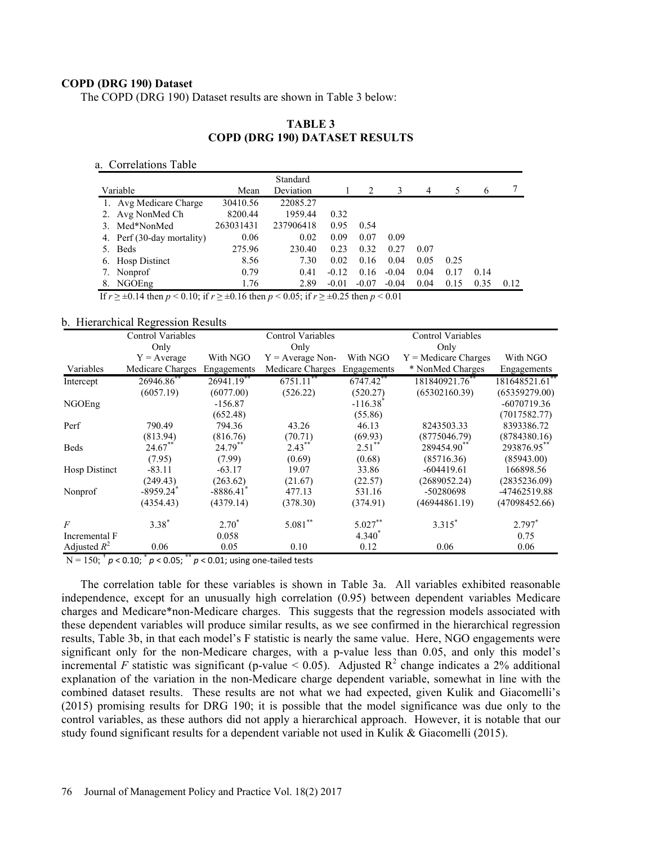## COPD (DRG 190) Dataset

The COPD (DRG 190) Dataset results are shown in Table 3 below:

| (DRG 190) Dataset<br>COPD (DRG 190) Dataset results are shown in Table 3 below:                                 |           |                                                         |         |         |                |      |                          |      |      |
|-----------------------------------------------------------------------------------------------------------------|-----------|---------------------------------------------------------|---------|---------|----------------|------|--------------------------|------|------|
|                                                                                                                 |           | <b>TABLE 3</b><br><b>COPD (DRG 190) DATASET RESULTS</b> |         |         |                |      |                          |      |      |
| u. Correlations Table                                                                                           |           |                                                         |         |         |                |      |                          |      |      |
| Variable                                                                                                        | Mean      | Standard<br>Deviation                                   |         | 2       | $\mathfrak{Z}$ | 4    | 5                        | 6    | 7    |
| 1. Avg Medicare Charge                                                                                          | 30410.56  | 22085.27                                                |         |         |                |      |                          |      |      |
| 2. Avg NonMed Ch                                                                                                | 8200.44   | 1959.44                                                 | 0.32    |         |                |      |                          |      |      |
| 3. Med*NonMed                                                                                                   | 263031431 | 237906418                                               | 0.95    | 0.54    |                |      |                          |      |      |
| 4. Perf (30-day mortality)                                                                                      | 0.06      | 0.02                                                    | 0.09    | 0.07    | 0.09           |      |                          |      |      |
| 5. Beds                                                                                                         | 275.96    | 230.40                                                  | 0.23    | 0.32    | 0.27           | 0.07 |                          |      |      |
| 6. Hosp Distinct                                                                                                | 8.56      | 7.30                                                    | 0.02    | 0.16    | 0.04           | 0.05 | 0.25                     |      |      |
| 7. Nonprof                                                                                                      | 0.79      | 0.41                                                    | $-0.12$ | 0.16    | $-0.04$        | 0.04 | 0.17                     | 0.14 |      |
|                                                                                                                 |           |                                                         |         |         |                |      |                          |      |      |
| 8. NGOEng                                                                                                       | 1.76      | 2.89                                                    | $-0.01$ | $-0.07$ | $-0.04$        | 0.04 | 0.15                     | 0.35 | 0.12 |
| If $r \ge \pm 0.14$ then $p < 0.10$ ; if $r \ge \pm 0.16$ then $p < 0.05$ ; if $r \ge \pm 0.25$ then $p < 0.01$ |           |                                                         |         |         |                |      |                          |      |      |
| archical Regression Results<br>Control Variables                                                                |           | <b>Control Variables</b>                                |         |         |                |      | <b>Control Variables</b> |      |      |

## TABLE 3 COPD (DRG 190) DATASET RESULTS

#### b. Hierarchical Regression Results

| Variables            | $Y = Average$           | With NGO                |                    |                        | Only                   |                |
|----------------------|-------------------------|-------------------------|--------------------|------------------------|------------------------|----------------|
|                      |                         |                         | $Y = Average Non-$ | With NGO               | $Y =$ Medicare Charges | With NGO       |
|                      | Medicare Charges        | Engagements             | Medicare Charges   | Engagements            | * NonMed Charges       | Engagements    |
| Intercept            | 26946.86                | $26941.19$ <sup>*</sup> | 6751.11            | $6747.42$ **           | 181840921.76           | 181648521.61 * |
|                      | (6057.19)               | (6077.00)               | (526.22)           | (520.27)               | (65302160.39)          | (65359279.00)  |
| NGOEng               |                         | $-156.87$               |                    | $-116.38$ <sup>*</sup> |                        | $-6070719.36$  |
|                      |                         | (652.48)                |                    | (55.86)                |                        | (7017582.77)   |
| Perf                 | 790.49                  | 794.36                  | 43.26              | 46.13                  | 8243503.33             | 8393386.72     |
|                      | (813.94)                | (816.76)                | (70.71)            | (69.93)                | (8775046.79)           | (8784380.16)   |
| Beds                 | $24.67$ <sup>**</sup>   | $24.79***$              | $2.43***$          | $2.51^{\degree}$       | 289454.90              | 293876.95      |
|                      | (7.95)                  | (7.99)                  | (0.69)             | (0.68)                 | (85716.36)             | (85943.00)     |
| <b>Hosp Distinct</b> | $-83.11$                | $-63.17$                | 19.07              | 33.86                  | $-604419.61$           | 166898.56      |
|                      | (249.43)                | (263.62)                | (21.67)            | (22.57)                | (2689052.24)           | (2835236.09)   |
| Nonprof              | $-8959.24$ <sup>*</sup> | $-8886.41$              | 477.13             | 531.16                 | -50280698              | -47462519.88   |
|                      | (4354.43)               | (4379.14)               | (378.30)           | (374.91)               | (46944861.19)          | (47098452.66)  |
| $\overline{F}$       | $3.38*$                 | $2.70^*$                | $5.081**$          | $5.027***$             | $3.315*$               | $2.797*$       |
| Incremental F        |                         | 0.058                   |                    | 4.340 <sup>*</sup>     |                        | 0.75           |
| Adjusted $R^2$       | 0.06                    | 0.05                    | 0.10               | 0.12                   | 0.06                   | 0.06           |

The correlation table for these variables is shown in Table 3a. All variables exhibited reasonable independence, except for an unusually high correlation (0.95) between dependent variables Medicare charges and Medicare\*non-Medicare charges. This suggests that the regression models associated with these dependent variables will produce similar results, as we see confirmed in the hierarchical regression results, Table 3b, in that each model's F statistic is nearly the same value. Here, NGO engagements were significant only for the non-Medicare charges, with a p-value less than 0.05, and only this model's incremental F statistic was significant (p-value  $\leq$  0.05). Adjusted R<sup>2</sup> change indicates a 2% additional explanation of the variation in the non-Medicare charge dependent variable, somewhat in line with the combined dataset results. These results are not what we had expected, given Kulik and Giacomelli's (2015) promising results for DRG 190; it is possible that the model significance was due only to the control variables, as these authors did not apply a hierarchical approach. However, it is notable that our study found significant results for a dependent variable not used in Kulik & Giacomelli (2015).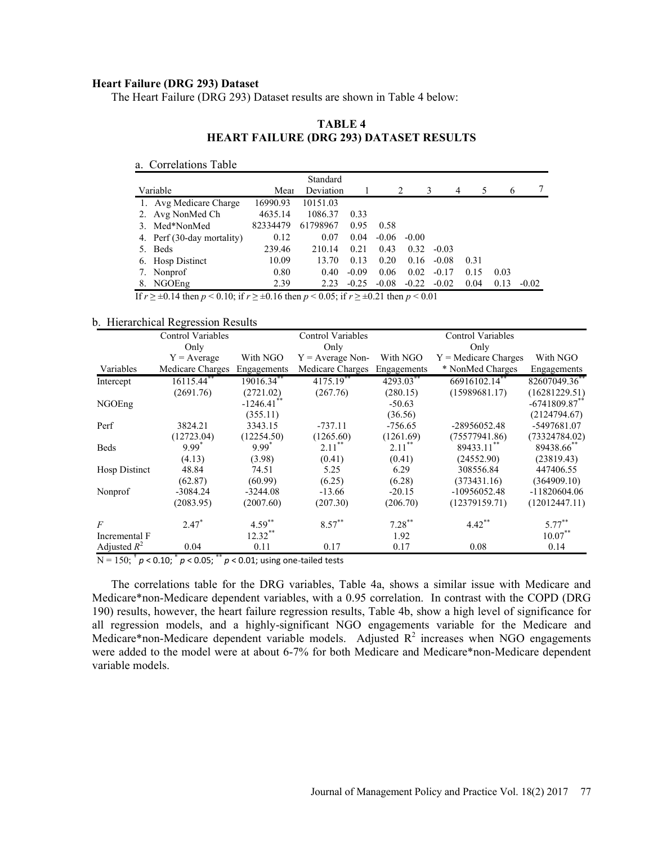# Heart Failure (DRG 293) Dataset

The Heart Failure (DRG 293) Dataset results are shown in Table 4 below:

## TABLE 4 HEART FAILURE (DRG 293) DATASET RESULTS

#### a. Correlations Table

| ailure (DRG 293) Dataset                                                                                                                                           |                                                |                          |         |                                |         |                     |                          |      |               |
|--------------------------------------------------------------------------------------------------------------------------------------------------------------------|------------------------------------------------|--------------------------|---------|--------------------------------|---------|---------------------|--------------------------|------|---------------|
| Heart Failure (DRG 293) Dataset results are shown in Table 4 below:                                                                                                |                                                |                          |         |                                |         |                     |                          |      |               |
|                                                                                                                                                                    |                                                |                          |         |                                |         |                     |                          |      |               |
|                                                                                                                                                                    |                                                | TABLE <sub>4</sub>       |         |                                |         |                     |                          |      |               |
|                                                                                                                                                                    | <b>HEART FAILURE (DRG 293) DATASET RESULTS</b> |                          |         |                                |         |                     |                          |      |               |
|                                                                                                                                                                    |                                                |                          |         |                                |         |                     |                          |      |               |
| a. Correlations Table                                                                                                                                              |                                                |                          |         |                                |         |                     |                          |      |               |
|                                                                                                                                                                    |                                                | Standard                 |         |                                |         |                     |                          |      |               |
| Variable                                                                                                                                                           | Mean                                           | Deviation                |         |                                | 2       | 3<br>$\overline{4}$ | 5                        | 6    | 7             |
| 1. Avg Medicare Charge                                                                                                                                             | 16990.93                                       | 10151.03                 |         |                                |         |                     |                          |      |               |
| 2. Avg NonMed Ch                                                                                                                                                   | 4635.14                                        | 1086.37                  | 0.33    |                                |         |                     |                          |      |               |
| 3. Med*NonMed                                                                                                                                                      | 82334479                                       | 61798967                 | 0.95    | 0.58                           |         |                     |                          |      |               |
| 4. Perf (30-day mortality)                                                                                                                                         | 0.12                                           | 0.07                     | 0.04    | $-0.06$                        | $-0.00$ |                     |                          |      |               |
| 5. Beds                                                                                                                                                            | 239.46                                         | 210.14                   | 0.21    | 0.43                           | 0.32    | $-0.03$             |                          |      |               |
|                                                                                                                                                                    |                                                |                          |         |                                |         | $-0.08$             | 0.31                     |      |               |
| 6. Hosp Distinct                                                                                                                                                   | 10.09                                          | 13.70                    | 0.13    | 0.20                           | 0.16    |                     |                          |      |               |
| 7. Nonprof                                                                                                                                                         | 0.80                                           | 0.40                     | $-0.09$ | 0.06                           | 0.02    | $-0.17$             | 0.15                     | 0.03 |               |
| 8. NGOEng                                                                                                                                                          | 2.39                                           |                          |         | $2.23 -0.25 -0.08 -0.22 -0.02$ |         |                     | 0.04                     |      | $0.13 - 0.02$ |
|                                                                                                                                                                    |                                                |                          |         |                                |         |                     |                          |      |               |
|                                                                                                                                                                    |                                                |                          |         |                                |         |                     |                          |      |               |
|                                                                                                                                                                    |                                                |                          |         |                                |         |                     |                          |      |               |
| If $r \ge \pm 0.14$ then $p < 0.10$ ; if $r \ge \pm 0.16$ then $p < 0.05$ ; if $r \ge \pm 0.21$ then $p < 0.01$<br>rchical Regression Results<br>Control Variables |                                                | <b>Control Variables</b> |         |                                |         |                     | <b>Control Variables</b> |      |               |

## b. Hierarchical Regression Results

| With NGO<br>$Y = Average$<br>$Y = Average Non-$<br>With NGO<br>$Y =$ Medicare Charges<br>Variables<br>Medicare Charges<br>Medicare Charges<br>* NonMed Charges<br>Engagements<br>Engagements<br>$4175.19$ **<br>66916102.14**<br>16115.44**<br>19016.34**<br>4293.03**<br>(2691.76)<br>(2721.02)<br>(15989681.17)<br>(267.76)<br>(280.15)<br>$-1246.41$<br>$-50.63$<br>(36.56)<br>(355.11)<br>3824.21<br>$-737.11$<br>-28956052.48<br>3343.15<br>$-756.65$<br>(12723.04)<br>(12254.50)<br>(1265.60)<br>(1261.69)<br>(75577941.86)<br>$2.11***$<br>$2.11***$<br>$9.99^{^{n}}$<br>$9.99^{\degree}$<br>89433.11**<br>(4.13)<br>(3.98)<br>(0.41)<br>(0.41)<br>(24552.90)<br>48.84<br>74.51<br>5.25<br>6.29<br>308556.84<br>(62.87)<br>(60.99)<br>(6.25)<br>(6.28)<br>(373431.16)<br>$-3084.24$<br>$-3244.08$<br>$-13.66$<br>$-20.15$<br>-10956052.48<br>(2083.95)<br>(2007.60)<br>(207.30)<br>(12379159.71)<br>(206.70)<br>$4.42$ **<br>$7.28***$<br>$5.77***$<br>$4.59***$<br>$8.57***$<br>$2.47*$ | Only<br>Only                | Control Variables | Control Variables<br>Only |                            |
|-------------------------------------------------------------------------------------------------------------------------------------------------------------------------------------------------------------------------------------------------------------------------------------------------------------------------------------------------------------------------------------------------------------------------------------------------------------------------------------------------------------------------------------------------------------------------------------------------------------------------------------------------------------------------------------------------------------------------------------------------------------------------------------------------------------------------------------------------------------------------------------------------------------------------------------------------------------------------------------------------|-----------------------------|-------------------|---------------------------|----------------------------|
| Intercept<br>NGOEng<br>Perf<br><b>Beds</b><br>Hosp Distinct                                                                                                                                                                                                                                                                                                                                                                                                                                                                                                                                                                                                                                                                                                                                                                                                                                                                                                                                     |                             |                   |                           | With NGO                   |
|                                                                                                                                                                                                                                                                                                                                                                                                                                                                                                                                                                                                                                                                                                                                                                                                                                                                                                                                                                                                 |                             |                   |                           | Engagements                |
|                                                                                                                                                                                                                                                                                                                                                                                                                                                                                                                                                                                                                                                                                                                                                                                                                                                                                                                                                                                                 |                             |                   |                           | 82607049.36**              |
|                                                                                                                                                                                                                                                                                                                                                                                                                                                                                                                                                                                                                                                                                                                                                                                                                                                                                                                                                                                                 |                             |                   |                           | (16281229.51)              |
|                                                                                                                                                                                                                                                                                                                                                                                                                                                                                                                                                                                                                                                                                                                                                                                                                                                                                                                                                                                                 |                             |                   |                           | $-6741809.87$ <sup>*</sup> |
|                                                                                                                                                                                                                                                                                                                                                                                                                                                                                                                                                                                                                                                                                                                                                                                                                                                                                                                                                                                                 |                             |                   |                           | (2124794.67)               |
|                                                                                                                                                                                                                                                                                                                                                                                                                                                                                                                                                                                                                                                                                                                                                                                                                                                                                                                                                                                                 |                             |                   |                           | -5497681.07                |
|                                                                                                                                                                                                                                                                                                                                                                                                                                                                                                                                                                                                                                                                                                                                                                                                                                                                                                                                                                                                 |                             |                   |                           | (73324784.02)              |
|                                                                                                                                                                                                                                                                                                                                                                                                                                                                                                                                                                                                                                                                                                                                                                                                                                                                                                                                                                                                 |                             |                   |                           | 89438.66                   |
|                                                                                                                                                                                                                                                                                                                                                                                                                                                                                                                                                                                                                                                                                                                                                                                                                                                                                                                                                                                                 |                             |                   |                           | (23819.43)                 |
|                                                                                                                                                                                                                                                                                                                                                                                                                                                                                                                                                                                                                                                                                                                                                                                                                                                                                                                                                                                                 |                             |                   |                           | 447406.55                  |
|                                                                                                                                                                                                                                                                                                                                                                                                                                                                                                                                                                                                                                                                                                                                                                                                                                                                                                                                                                                                 |                             |                   |                           | (364909.10)                |
| $\overline{F}$                                                                                                                                                                                                                                                                                                                                                                                                                                                                                                                                                                                                                                                                                                                                                                                                                                                                                                                                                                                  | Nonprof                     |                   |                           | $-11820604.06$             |
|                                                                                                                                                                                                                                                                                                                                                                                                                                                                                                                                                                                                                                                                                                                                                                                                                                                                                                                                                                                                 |                             |                   |                           | (12012447.11)              |
|                                                                                                                                                                                                                                                                                                                                                                                                                                                                                                                                                                                                                                                                                                                                                                                                                                                                                                                                                                                                 |                             |                   |                           |                            |
|                                                                                                                                                                                                                                                                                                                                                                                                                                                                                                                                                                                                                                                                                                                                                                                                                                                                                                                                                                                                 | $12.32***$<br>Incremental F | 1.92              |                           | $10.07***$                 |
| 0.04<br>Adjusted $R^2$<br>0.11<br>0.17<br>0.08<br>0.17<br>0.14                                                                                                                                                                                                                                                                                                                                                                                                                                                                                                                                                                                                                                                                                                                                                                                                                                                                                                                                  |                             |                   |                           |                            |

The correlations table for the DRG variables, Table 4a, shows a similar issue with Medicare and Medicare\*non-Medicare dependent variables, with a 0.95 correlation. In contrast with the COPD (DRG 190) results, however, the heart failure regression results, Table 4b, show a high level of significance for all regression models, and a highly-significant NGO engagements variable for the Medicare and Medicare\*non-Medicare dependent variable models. Adjusted  $R^2$  increases when NGO engagements were added to the model were at about 6-7% for both Medicare and Medicare\*non-Medicare dependent variable models.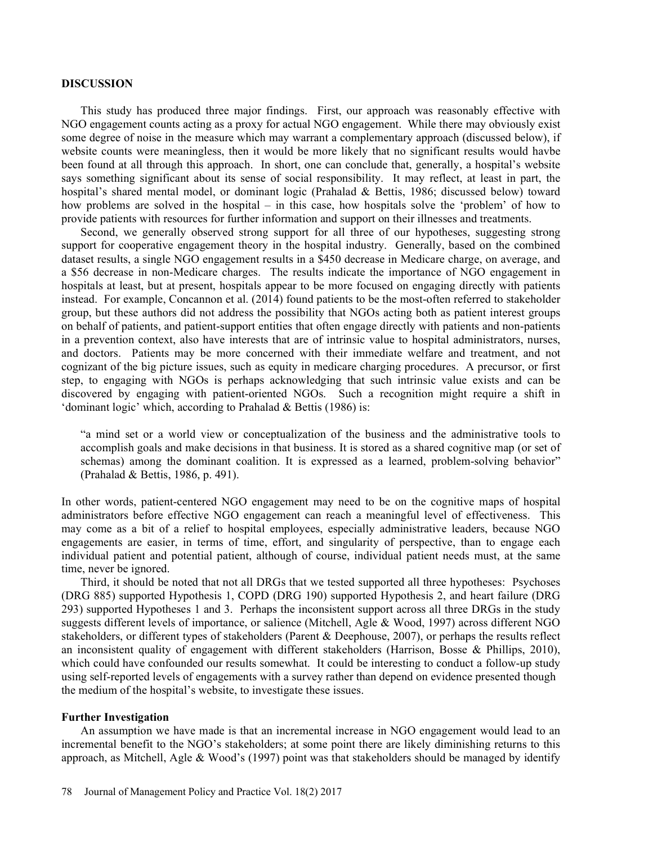#### DISCUSSION

This study has produced three major findings. First, our approach was reasonably effective with NGO engagement counts acting as a proxy for actual NGO engagement. While there may obviously exist some degree of noise in the measure which may warrant a complementary approach (discussed below), if website counts were meaningless, then it would be more likely that no significant results would havbe been found at all through this approach. In short, one can conclude that, generally, a hospital's website says something significant about its sense of social responsibility. It may reflect, at least in part, the hospital's shared mental model, or dominant logic (Prahalad & Bettis, 1986; discussed below) toward how problems are solved in the hospital  $-$  in this case, how hospitals solve the 'problem' of how to provide patients with resources for further information and support on their illnesses and treatments.

Second, we generally observed strong support for all three of our hypotheses, suggesting strong support for cooperative engagement theory in the hospital industry. Generally, based on the combined dataset results, a single NGO engagement results in a \$450 decrease in Medicare charge, on average, and a \$56 decrease in non-Medicare charges. The results indicate the importance of NGO engagement in hospitals at least, but at present, hospitals appear to be more focused on engaging directly with patients instead. For example, Concannon et al. (2014) found patients to be the most-often referred to stakeholder group, but these authors did not address the possibility that NGOs acting both as patient interest groups on behalf of patients, and patient-support entities that often engage directly with patients and non-patients in a prevention context, also have interests that are of intrinsic value to hospital administrators, nurses, and doctors. Patients may be more concerned with their immediate welfare and treatment, and not cognizant of the big picture issues, such as equity in medicare charging procedures. A precursor, or first step, to engaging with NGOs is perhaps acknowledging that such intrinsic value exists and can be discovered by engaging with patient-oriented NGOs. Such a recognition might require a shift in 'dominant logic' which, according to Prahalad  $&$  Bettis (1986) is:

a mind set or a world view or conceptualization of the business and the administrative tools to accomplish goals and make decisions in that business. It is stored as a shared cognitive map (or set of schemas) among the dominant coalition. It is expressed as a learned, problem-solving behavior (Prahalad & Bettis, 1986, p. 491).

In other words, patient-centered NGO engagement may need to be on the cognitive maps of hospital administrators before effective NGO engagement can reach a meaningful level of effectiveness. This may come as a bit of a relief to hospital employees, especially administrative leaders, because NGO engagements are easier, in terms of time, effort, and singularity of perspective, than to engage each individual patient and potential patient, although of course, individual patient needs must, at the same time, never be ignored.

Third, it should be noted that not all DRGs that we tested supported all three hypotheses: Psychoses (DRG 885) supported Hypothesis 1, COPD (DRG 190) supported Hypothesis 2, and heart failure (DRG 293) supported Hypotheses 1 and 3. Perhaps the inconsistent support across all three DRGs in the study suggests different levels of importance, or salience (Mitchell, Agle & Wood, 1997) across different NGO stakeholders, or different types of stakeholders (Parent & Deephouse, 2007), or perhaps the results reflect an inconsistent quality of engagement with different stakeholders (Harrison, Bosse & Phillips, 2010), which could have confounded our results somewhat. It could be interesting to conduct a follow-up study using self-reported levels of engagements with a survey rather than depend on evidence presented though the medium of the hospital's website, to investigate these issues.

#### Further Investigation

An assumption we have made is that an incremental increase in NGO engagement would lead to an incremental benefit to the NGO's stakeholders; at some point there are likely diminishing returns to this approach, as Mitchell, Agle & Wood's (1997) point was that stakeholders should be managed by identify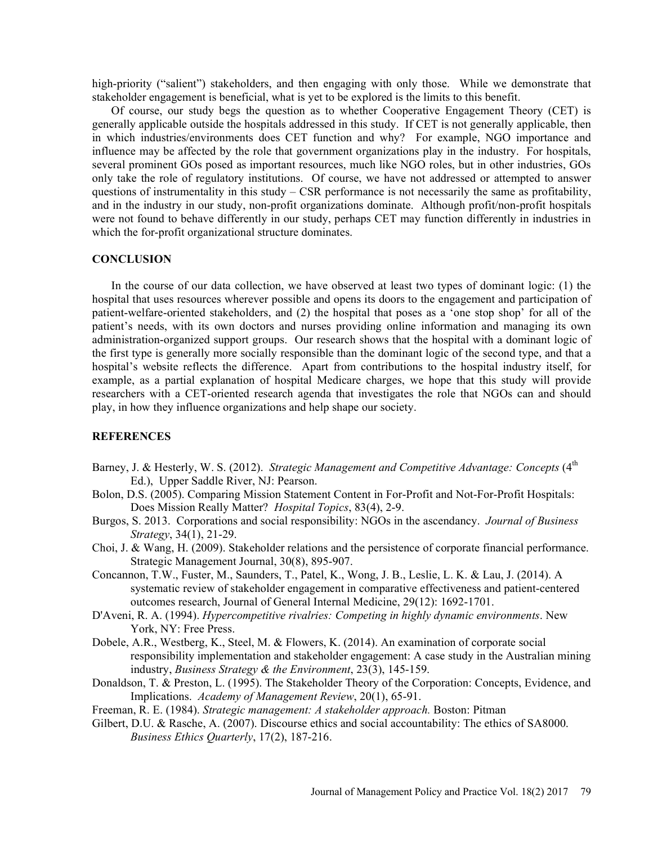high-priority ("salient") stakeholders, and then engaging with only those. While we demonstrate that stakeholder engagement is beneficial, what is yet to be explored is the limits to this benefit.

Of course, our study begs the question as to whether Cooperative Engagement Theory (CET) is generally applicable outside the hospitals addressed in this study. If CET is not generally applicable, then in which industries/environments does CET function and why? For example, NGO importance and influence may be affected by the role that government organizations play in the industry. For hospitals, several prominent GOs posed as important resources, much like NGO roles, but in other industries, GOs only take the role of regulatory institutions. Of course, we have not addressed or attempted to answer questions of instrumentality in this study  $-$  CSR performance is not necessarily the same as profitability, and in the industry in our study, non-profit organizations dominate. Although profit/non-profit hospitals were not found to behave differently in our study, perhaps CET may function differently in industries in which the for-profit organizational structure dominates.

#### **CONCLUSION**

In the course of our data collection, we have observed at least two types of dominant logic: (1) the hospital that uses resources wherever possible and opens its doors to the engagement and participation of patient-welfare-oriented stakeholders, and (2) the hospital that poses as a 'one stop shop' for all of the patient's needs, with its own doctors and nurses providing online information and managing its own administration-organized support groups. Our research shows that the hospital with a dominant logic of the first type is generally more socially responsible than the dominant logic of the second type, and that a hospital's website reflects the difference. Apart from contributions to the hospital industry itself, for example, as a partial explanation of hospital Medicare charges, we hope that this study will provide researchers with a CET-oriented research agenda that investigates the role that NGOs can and should play, in how they influence organizations and help shape our society.

## **REFERENCES**

- Barney, J. & Hesterly, W. S. (2012). Strategic Management and Competitive Advantage: Concepts  $(4<sup>th</sup>$ Ed.), Upper Saddle River, NJ: Pearson.
- Bolon, D.S. (2005). Comparing Mission Statement Content in For-Profit and Not-For-Profit Hospitals: Does Mission Really Matter? Hospital Topics, 83(4), 2-9.
- Burgos, S. 2013. Corporations and social responsibility: NGOs in the ascendancy. Journal of Business Strategy, 34(1), 21-29.
- Choi, J. & Wang, H. (2009). Stakeholder relations and the persistence of corporate financial performance. Strategic Management Journal, 30(8), 895-907.
- Concannon, T.W., Fuster, M., Saunders, T., Patel, K., Wong, J. B., Leslie, L. K. & Lau, J. (2014). A systematic review of stakeholder engagement in comparative effectiveness and patient-centered outcomes research, Journal of General Internal Medicine, 29(12): 1692-1701.
- D'Aveni, R. A. (1994). Hypercompetitive rivalries: Competing in highly dynamic environments. New York, NY: Free Press.
- Dobele, A.R., Westberg, K., Steel, M. & Flowers, K. (2014). An examination of corporate social responsibility implementation and stakeholder engagement: A case study in the Australian mining industry, Business Strategy & the Environment, 23(3), 145-159.
- Donaldson, T. & Preston, L. (1995). The Stakeholder Theory of the Corporation: Concepts, Evidence, and Implications. Academy of Management Review, 20(1), 65-91.

Freeman, R. E. (1984). Strategic management: A stakeholder approach. Boston: Pitman

Gilbert, D.U. & Rasche, A. (2007). Discourse ethics and social accountability: The ethics of SA8000. Business Ethics Quarterly, 17(2), 187-216.